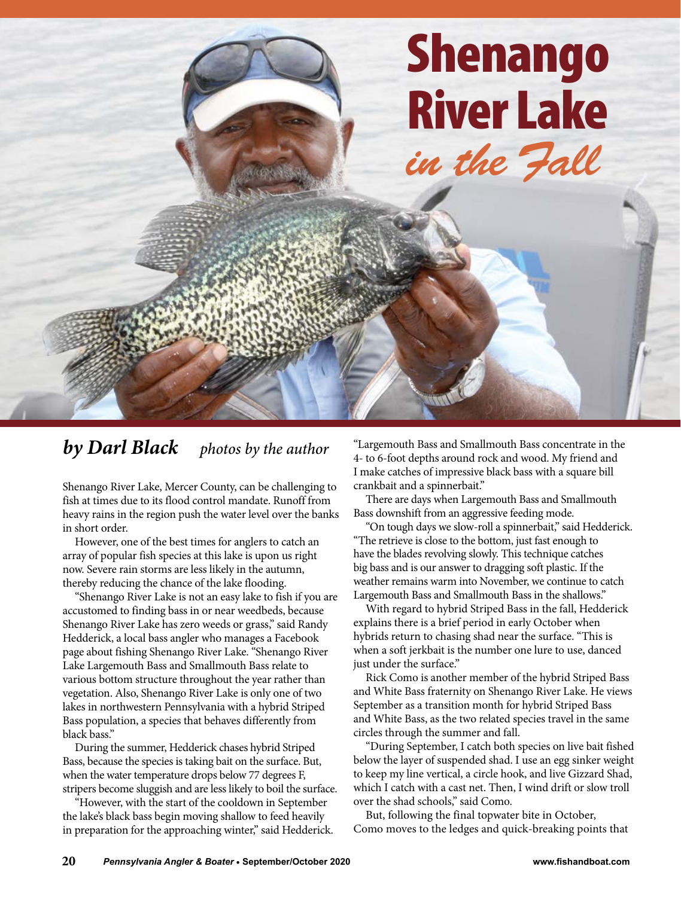

## *by Darl Black photos by the author*

Shenango River Lake, Mercer County, can be challenging to fish at times due to its flood control mandate. Runoff from heavy rains in the region push the water level over the banks in short order.

However, one of the best times for anglers to catch an array of popular fish species at this lake is upon us right now. Severe rain storms are less likely in the autumn, thereby reducing the chance of the lake flooding.

"Shenango River Lake is not an easy lake to fish if you are accustomed to finding bass in or near weedbeds, because Shenango River Lake has zero weeds or grass," said Randy Hedderick, a local bass angler who manages a Facebook page about fishing Shenango River Lake. "Shenango River Lake Largemouth Bass and Smallmouth Bass relate to various bottom structure throughout the year rather than vegetation. Also, Shenango River Lake is only one of two lakes in northwestern Pennsylvania with a hybrid Striped Bass population, a species that behaves differently from black bass."

During the summer, Hedderick chases hybrid Striped Bass, because the species is taking bait on the surface. But, when the water temperature drops below 77 degrees F, stripers become sluggish and are less likely to boil the surface.

"However, with the start of the cooldown in September the lake's black bass begin moving shallow to feed heavily in preparation for the approaching winter," said Hedderick.

"Largemouth Bass and Smallmouth Bass concentrate in the 4- to 6-foot depths around rock and wood. My friend and I make catches of impressive black bass with a square bill crankbait and a spinnerbait."

There are days when Largemouth Bass and Smallmouth Bass downshift from an aggressive feeding mode.

"On tough days we slow-roll a spinnerbait," said Hedderick. "The retrieve is close to the bottom, just fast enough to have the blades revolving slowly. This technique catches big bass and is our answer to dragging soft plastic. If the weather remains warm into November, we continue to catch Largemouth Bass and Smallmouth Bass in the shallows."

With regard to hybrid Striped Bass in the fall, Hedderick explains there is a brief period in early October when hybrids return to chasing shad near the surface. "This is when a soft jerkbait is the number one lure to use, danced just under the surface."

Rick Como is another member of the hybrid Striped Bass and White Bass fraternity on Shenango River Lake. He views September as a transition month for hybrid Striped Bass and White Bass, as the two related species travel in the same circles through the summer and fall.

"During September, I catch both species on live bait fished below the layer of suspended shad. I use an egg sinker weight to keep my line vertical, a circle hook, and live Gizzard Shad, which I catch with a cast net. Then, I wind drift or slow troll over the shad schools," said Como.

But, following the final topwater bite in October, Como moves to the ledges and quick-breaking points that